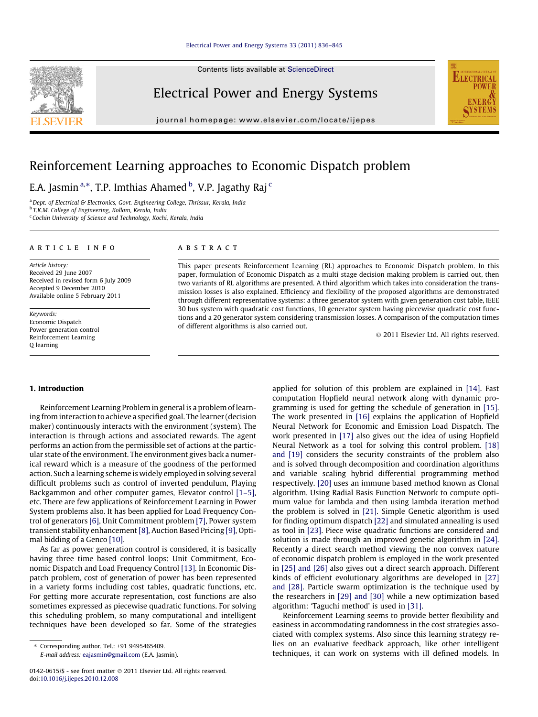Contents lists available at [ScienceDirect](http://www.sciencedirect.com/science/journal/01420615)

Electrical Power and Energy Systems

journal homepage: [www.elsevier.com/locate/ijepes](http://www.elsevier.com/locate/ijepes)



# Reinforcement Learning approaches to Economic Dispatch problem

E.A. Jasmin <sup>a,</sup>\*, T.P. Imthias Ahamed <sup>b</sup>, V.P. Jagathy Raj <sup>c</sup>

<sup>a</sup> Dept. of Electrical & Electronics, Govt. Engineering College, Thrissur, Kerala, India <sup>b</sup> T.K.M. College of Engineering, Kollam, Kerala, India <sup>c</sup> Cochin University of Science and Technology, Kochi, Kerala, India

## article info

Article history: Received 29 June 2007 Received in revised form 6 July 2009 Accepted 9 December 2010 Available online 5 February 2011

Keywords: Economic Dispatch Power generation control Reinforcement Learning Q learning

#### ABSTRACT

This paper presents Reinforcement Learning (RL) approaches to Economic Dispatch problem. In this paper, formulation of Economic Dispatch as a multi stage decision making problem is carried out, then two variants of RL algorithms are presented. A third algorithm which takes into consideration the transmission losses is also explained. Efficiency and flexibility of the proposed algorithms are demonstrated through different representative systems: a three generator system with given generation cost table, IEEE 30 bus system with quadratic cost functions, 10 generator system having piecewise quadratic cost functions and a 20 generator system considering transmission losses. A comparison of the computation times of different algorithms is also carried out.

- 2011 Elsevier Ltd. All rights reserved.

## 1. Introduction

Reinforcement Learning Problem in general is a problem of learning from interaction to achieve a specified goal. The learner (decision maker) continuously interacts with the environment (system). The interaction is through actions and associated rewards. The agent performs an action from the permissible set of actions at the particular state of the environment. The environment gives back a numerical reward which is a measure of the goodness of the performed action. Such a learning scheme is widely employed in solving several difficult problems such as control of inverted pendulum, Playing Backgammon and other computer games, Elevator control [\[1–5\],](#page-8-0) etc. There are few applications of Reinforcement Learning in Power System problems also. It has been applied for Load Frequency Control of generators [\[6\],](#page-8-0) Unit Commitment problem [\[7\],](#page-8-0) Power system transient stability enhancement[\[8\]](#page-8-0), Auction Based Pricing [\[9\],](#page-8-0) Optimal bidding of a Genco [\[10\]](#page-8-0).

As far as power generation control is considered, it is basically having three time based control loops: Unit Commitment, Economic Dispatch and Load Frequency Control [\[13\]](#page-9-0). In Economic Dispatch problem, cost of generation of power has been represented in a variety forms including cost tables, quadratic functions, etc. For getting more accurate representation, cost functions are also sometimes expressed as piecewise quadratic functions. For solving this scheduling problem, so many computational and intelligent techniques have been developed so far. Some of the strategies

E-mail address: [eajasmin@gmail.com](mailto:eajasmin@gmail.com) (E.A. Jasmin).

applied for solution of this problem are explained in [\[14\].](#page-9-0) Fast computation Hopfield neural network along with dynamic programming is used for getting the schedule of generation in [\[15\].](#page-9-0) The work presented in [\[16\]](#page-9-0) explains the application of Hopfield Neural Network for Economic and Emission Load Dispatch. The work presented in [\[17\]](#page-9-0) also gives out the idea of using Hopfield Neural Network as a tool for solving this control problem. [\[18\]](#page-9-0) [and \[19\]](#page-9-0) considers the security constraints of the problem also and is solved through decomposition and coordination algorithms and variable scaling hybrid differential programming method respectively. [\[20\]](#page-9-0) uses an immune based method known as Clonal algorithm. Using Radial Basis Function Network to compute optimum value for lambda and then using lambda iteration method the problem is solved in [\[21\]](#page-9-0). Simple Genetic algorithm is used for finding optimum dispatch [\[22\]](#page-9-0) and simulated annealing is used as tool in [\[23\].](#page-9-0) Piece wise quadratic functions are considered and solution is made through an improved genetic algorithm in [\[24\].](#page-9-0) Recently a direct search method viewing the non convex nature of economic dispatch problem is employed in the work presented in [\[25\] and \[26\]](#page-9-0) also gives out a direct search approach. Different kinds of efficient evolutionary algorithms are developed in [\[27\]](#page-9-0) [and \[28\].](#page-9-0) Particle swarm optimization is the technique used by the researchers in [\[29\] and \[30\]](#page-9-0) while a new optimization based algorithm: 'Taguchi method' is used in [\[31\].](#page-9-0)

Reinforcement Learning seems to provide better flexibility and easiness in accommodating randomness in the cost strategies associated with complex systems. Also since this learning strategy relies on an evaluative feedback approach, like other intelligent techniques, it can work on systems with ill defined models. In



<sup>⇑</sup> Corresponding author. Tel.: +91 9495465409.

<sup>0142-0615/\$ -</sup> see front matter © 2011 Elsevier Ltd. All rights reserved. doi:[10.1016/j.ijepes.2010.12.008](http://dx.doi.org/10.1016/j.ijepes.2010.12.008)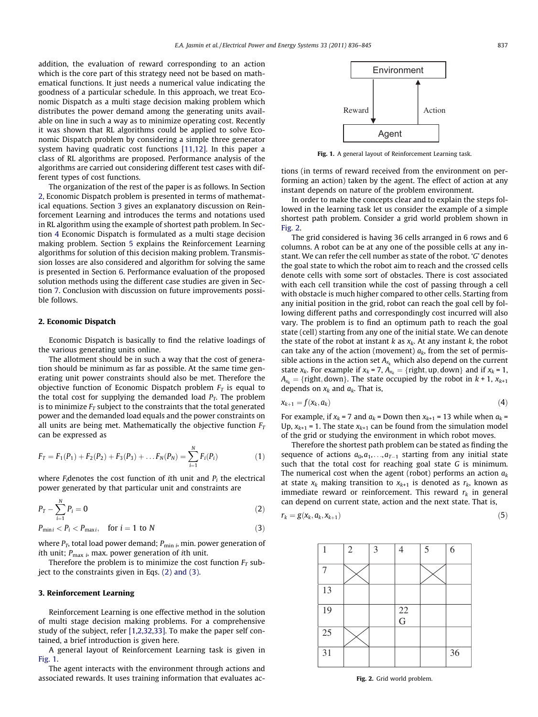addition, the evaluation of reward corresponding to an action which is the core part of this strategy need not be based on mathematical functions. It just needs a numerical value indicating the goodness of a particular schedule. In this approach, we treat Economic Dispatch as a multi stage decision making problem which distributes the power demand among the generating units available on line in such a way as to minimize operating cost. Recently it was shown that RL algorithms could be applied to solve Economic Dispatch problem by considering a simple three generator system having quadratic cost functions [\[11,12\]](#page-8-0). In this paper a class of RL algorithms are proposed. Performance analysis of the algorithms are carried out considering different test cases with different types of cost functions.

The organization of the rest of the paper is as follows. In Section 2, Economic Dispatch problem is presented in terms of mathematical equations. Section 3 gives an explanatory discussion on Reinforcement Learning and introduces the terms and notations used in RL algorithm using the example of shortest path problem. In Section [4](#page-2-0) Economic Dispatch is formulated as a multi stage decision making problem. Section [5](#page-3-0) explains the Reinforcement Learning algorithms for solution of this decision making problem. Transmission losses are also considered and algorithm for solving the same is presented in Section [6](#page-5-0). Performance evaluation of the proposed solution methods using the different case studies are given in Section [7.](#page-5-0) Conclusion with discussion on future improvements possible follows.

## 2. Economic Dispatch

Economic Dispatch is basically to find the relative loadings of the various generating units online.

The allotment should be in such a way that the cost of generation should be minimum as far as possible. At the same time generating unit power constraints should also be met. Therefore the objective function of Economic Dispatch problem  $F_T$  is equal to the total cost for supplying the demanded load  $P_T$ . The problem is to minimize  $F_T$  subject to the constraints that the total generated power and the demanded load equals and the power constraints on all units are being met. Mathematically the objective function  $F_T$ can be expressed as

$$
F_T = F_1(P_1) + F_2(P_2) + F_3(P_3) + \dots F_N(P_N) = \sum_{i=1}^N F_i(P_i)
$$
 (1)

where  $F_i$  denotes the cost function of ith unit and  $P_i$  the electrical power generated by that particular unit and constraints are

$$
P_T - \sum_{i=1}^{N} P_i = 0 \tag{2}
$$

 $P_{\text{min }i} < P_i < P_{\text{max }i}$ , for  $i = 1$  to N (3)

where  $P_T$ , total load power demand;  $P_{\text{min }i}$ , min. power generation of ith unit;  $P_{\text{max }i}$ , max. power generation of ith unit.

Therefore the problem is to minimize the cost function  $F_T$  subject to the constraints given in Eqs. (2) and (3).

## 3. Reinforcement Learning

Reinforcement Learning is one effective method in the solution of multi stage decision making problems. For a comprehensive study of the subject, refer [\[1,2,32,33\].](#page-8-0) To make the paper self contained, a brief introduction is given here.

A general layout of Reinforcement Learning task is given in Fig. 1.

The agent interacts with the environment through actions and associated rewards. It uses training information that evaluates ac-



Fig. 1. A general layout of Reinforcement Learning task.

tions (in terms of reward received from the environment on performing an action) taken by the agent. The effect of action at any instant depends on nature of the problem environment.

In order to make the concepts clear and to explain the steps followed in the learning task let us consider the example of a simple shortest path problem. Consider a grid world problem shown in Fig. 2.

The grid considered is having 36 cells arranged in 6 rows and 6 columns. A robot can be at any one of the possible cells at any instant. We can refer the cell number as state of the robot. 'G' denotes the goal state to which the robot aim to reach and the crossed cells denote cells with some sort of obstacles. There is cost associated with each cell transition while the cost of passing through a cell with obstacle is much higher compared to other cells. Starting from any initial position in the grid, robot can reach the goal cell by following different paths and correspondingly cost incurred will also vary. The problem is to find an optimum path to reach the goal state (cell) starting from any one of the initial state. We can denote the state of the robot at instant k as  $x_k$ . At any instant k, the robot can take any of the action (movement)  $a_k$ , from the set of permissible actions in the action set  $A_{x_k}$  which also depend on the current state  $x_k$ . For example if  $x_k = 7$ ,  $A_{x_k} = \{ \text{right}, \text{up}, \text{down} \}$  and if  $x_k = 1$ ,  $A_{x_k} = \{ \text{right}, \text{down} \}.$  The state occupied by the robot in  $k + 1$ ,  $x_{k+1}$ depends on  $x_k$  and  $a_k$ . That is,

$$
x_{k+1} = f(x_k, a_k) \tag{4}
$$

For example, if  $x_k = 7$  and  $a_k =$  Down then  $x_{k+1} = 13$  while when  $a_k =$ Up,  $x_{k+1}$  = 1. The state  $x_{k+1}$  can be found from the simulation model of the grid or studying the environment in which robot moves.

Therefore the shortest path problem can be stated as finding the sequence of actions  $a_0, a_1, \ldots, a_{T-1}$  starting from any initial state such that the total cost for reaching goal state G is minimum. The numerical cost when the agent (robot) performs an action  $a_k$ at state  $x_k$  making transition to  $x_{k+1}$  is denoted as  $r_k$ , known as immediate reward or reinforcement. This reward  $r_k$  in general can depend on current state, action and the next state. That is,

$$
r_k = g(x_k, a_k, x_{k+1})
$$
\n<sup>(5)</sup>



Fig. 2. Grid world problem.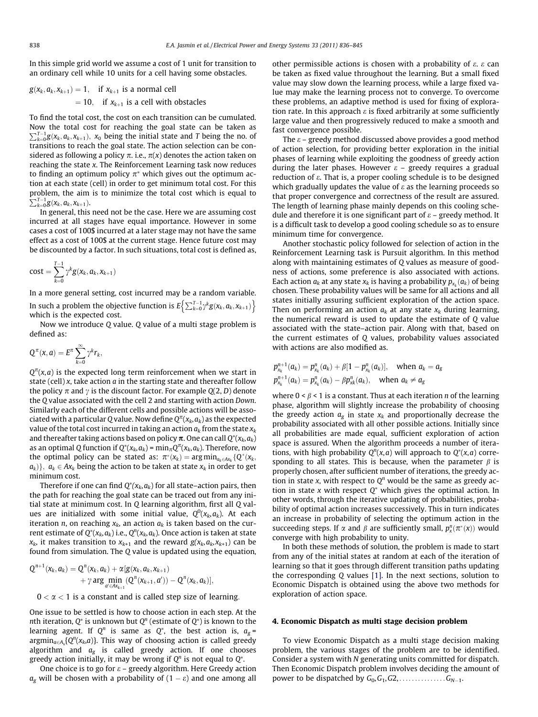<span id="page-2-0"></span>In this simple grid world we assume a cost of 1 unit for transition to an ordinary cell while 10 units for a cell having some obstacles.

$$
g(x_k, a_k, x_{k+1}) = 1
$$
, if  $x_{k+1}$  is a normal cell  
= 10, if  $x_{k+1}$  is a cell with obstacles

To find the total cost, the cost on each transition can be cumulated. Now the total cost for reaching the goal state can be taken as  $\sum_{k=0}^{T-1} g(x_k, a_k, x_{k+1}), x_0$  being the initial state and T being the no. of transitions to reach the goal state. The action selection can be considered as following a policy  $\pi$ , i.e.,  $\pi(x)$  denotes the action taken on reaching the state x. The Reinforcement Learning task now reduces to finding an optimum policy  $\pi^*$  which gives out the optimum action at each state (cell) in order to get minimum total cost. For this problem, the aim is to minimize the total cost which is equal to  $\sum_{k=0}^{T-1} g(x_k, a_k, x_{k+1}).$ 

In general, this need not be the case. Here we are assuming cost incurred at all stages have equal importance. However in some cases a cost of 100\$ incurred at a later stage may not have the same effect as a cost of 100\$ at the current stage. Hence future cost may be discounted by a factor. In such situations, total cost is defined as,

$$
cost = \sum_{k=0}^{T-1} \gamma^k g(x_k, a_k, x_{k+1})
$$

In a more general setting, cost incurred may be a random variable. In such a problem the objective function is  $E\left\{\sum_{k=0}^{T-1} \gamma^k g(x_k, a_k, x_{k+1})\right\}$ which is the expected cost.

Now we introduce Q value. Q value of a multi stage problem is defined as:

$$
Q^{\pi}(x,a) = E^{\pi} \sum_{k=0}^{\infty} \gamma^k r_k,
$$

 $Q^{\pi}(x,a)$  is the expected long term reinforcement when we start in state (cell) x, take action  $a$  in the starting state and thereafter follow the policy  $\pi$  and  $\gamma$  is the discount factor. For example Q(2, D) denote the Q value associated with the cell 2 and starting with action Down. Similarly each of the different cells and possible actions will be associated with a particular Q value. Now define  $Q^{\pi}(x_k, a_k)$  as the expected value of the total cost incurred in taking an action  $a_k$  from the state  $x_k$ and thereafter taking actions based on policy  $\pi$ . One can call  $Q^*(x_k, a_k)$ as an optimal Q function if  $Q^*(x_k, a_k) = min_{\pi}Q^{\pi}(x_k, a_k)$ . Therefore, now the optimal policy can be stated as:  $\pi^*(x_k) = \arg \min_{a_k \in Ax_k} \{Q^*(x_k,$  $a_k$ )},  $a_k \in Ax_k$  being the action to be taken at state  $x_k$  in order to get minimum cost.

Therefore if one can find  $Q^*(x_k, a_k)$  for all state–action pairs, then the path for reaching the goal state can be traced out from any initial state at minimum cost. In Q learning algorithm, first all Q values are initialized with some initial value,  $Q^0(x_k,a_k)$ . At each iteration *n*, on reaching  $x_k$ , an action  $a_k$  is taken based on the current estimate of  $Q^*(x_k, a_k)$  i.e.,  $Q^n(x_k, a_k)$ . Once action is taken at state  $x_k$ , it makes transition to  $x_{k+1}$  and the reward  $g(x_k, a_k, x_{k+1})$  can be found from simulation. The Q value is updated using the equation,

$$
Q^{n+1}(x_k, a_k) = Q^n(x_k, a_k) + \alpha [g(x_k, a_k, x_{k+1}) + \gamma \arg \min_{a' \in Ax_{k+1}} (Q^n(x_{k+1}, a')) - Q^n(x_k, a_k)],
$$

## $0 < \alpha < 1$  is a constant and is called step size of learning.

One issue to be settled is how to choose action in each step. At the nth iteration,  $Q^*$  is unknown but  $Q^n$  (estimate of  $Q^*)$  is known to the learning agent. If  $Q^n$  is same as  $Q^*$ , the best action is,  $a_g =$  $\arg\!\min_{a \in A_k} \{Q^n(x_k,a)\}.$  This way of choosing action is called greedy algorithm and  $a_g$  is called greedy action. If one chooses greedy action initially, it may be wrong if  $Q^n$  is not equal to  $Q^*$ .

One choice is to go for  $\varepsilon$  – greedy algorithm. Here Greedy action  $a_{\rm g}$  will be chosen with a probability of  $(1-\varepsilon)$  and one among all

other permissible actions is chosen with a probability of  $\varepsilon$ .  $\varepsilon$  can be taken as fixed value throughout the learning. But a small fixed value may slow down the learning process, while a large fixed value may make the learning process not to converge. To overcome these problems, an adaptive method is used for fixing of exploration rate. In this approach  $\varepsilon$  is fixed arbitrarily at some sufficiently large value and then progressively reduced to make a smooth and fast convergence possible.

The  $\varepsilon$  – greedy method discussed above provides a good method of action selection, for providing better exploration in the initial phases of learning while exploiting the goodness of greedy action during the later phases. However  $\varepsilon$  – greedy requires a gradual reduction of e. That is, a proper cooling schedule is to be designed which gradually updates the value of  $\varepsilon$  as the learning proceeds so that proper convergence and correctness of the result are assured. The length of learning phase mainly depends on this cooling schedule and therefore it is one significant part of  $\varepsilon$  – greedy method. It is a difficult task to develop a good cooling schedule so as to ensure minimum time for convergence.

Another stochastic policy followed for selection of action in the Reinforcement Learning task is Pursuit algorithm. In this method along with maintaining estimates of Q values as measure of goodness of actions, some preference is also associated with actions. Each action  $a_k$  at any state  $x_k$  is having a probability  $p_{x_k}(a_k)$  of being chosen. These probability values will be same for all actions and all states initially assuring sufficient exploration of the action space. Then on performing an action  $a_k$  at any state  $x_k$  during learning, the numerical reward is used to update the estimate of Q value associated with the state–action pair. Along with that, based on the current estimates of Q values, probability values associated with actions are also modified as.

$$
p_{x_k}^{n+1}(a_k) = p_{x_k}^n(a_k) + \beta[1 - p_{x_k}^n(a_k)], \text{ when } a_k = a_g
$$
  

$$
p_{x_k}^{n+1}(a_k) = p_{x_k}^n(a_k) - \beta p_{x_k}^n(a_k), \text{ when } a_k \neq a_g
$$

where  $0 \le \beta \le 1$  is a constant. Thus at each iteration *n* of the learning phase, algorithm will slightly increase the probability of choosing the greedy action  $a_{\varphi}$  in state  $x_k$  and proportionally decrease the probability associated with all other possible actions. Initially since all probabilities are made equal, sufficient exploration of action space is assured. When the algorithm proceeds a number of iterations, with high probability  $Q^{n}(x, a)$  will approach to  $Q^{*}(x, a)$  corresponding to all states. This is because, when the parameter  $\beta$  is properly chosen, after sufficient number of iterations, the greedy action in state x, with respect to  $Q<sup>n</sup>$  would be the same as greedy action in state x with respect  $Q^*$  which gives the optimal action. In other words, through the iterative updating of probabilities, probability of optimal action increases successively. This in turn indicates an increase in probability of selecting the optimum action in the succeeding steps. If  $\alpha$  and  $\beta$  are sufficiently small,  $p_x^n(\pi^*(x))$  would converge with high probability to unity.

In both these methods of solution, the problem is made to start from any of the initial states at random at each of the iteration of learning so that it goes through different transition paths updating the corresponding Q values [\[1\]](#page-8-0). In the next sections, solution to Economic Dispatch is obtained using the above two methods for exploration of action space.

#### 4. Economic Dispatch as multi stage decision problem

To view Economic Dispatch as a multi stage decision making problem, the various stages of the problem are to be identified. Consider a system with N generating units committed for dispatch. Then Economic Dispatch problem involves deciding the amount of power to be dispatched by  $G_0, G_1, G_2, \ldots, G_{N-1}$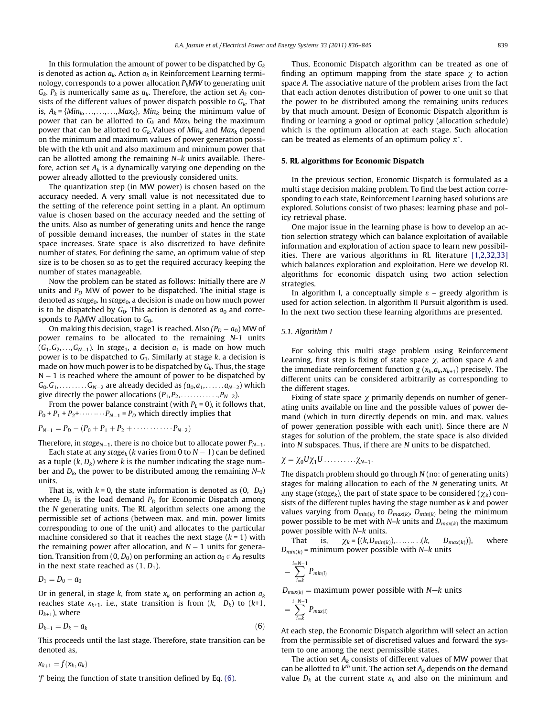<span id="page-3-0"></span>In this formulation the amount of power to be dispatched by  $G_k$ is denoted as action  $a_k$ . Action  $a_k$  in Reinforcement Learning terminology, corresponds to a power allocation  $P_kMW$  to generating unit  $G_k$ .  $P_k$  is numerically same as  $a_k$ . Therefore, the action set  $A_k$  consists of the different values of power dispatch possible to  $G_k$ . That is,  $A_k = \{Min_k, \ldots, \ldots, Max_k\}$ , Min<sub>k</sub> being the minimum value of power that can be allotted to  $G_k$  and  $Max_k$  being the maximum power that can be allotted to  $G_{k.}$ Values of Mi $n_k$  and Ma ${\sf x}_k$  depend on the minimum and maximum values of power generation possible with the kth unit and also maximum and minimum power that can be allotted among the remaining N–k units available. Therefore, action set  $A_k$  is a dynamically varying one depending on the power already allotted to the previously considered units.

The quantization step (in MW power) is chosen based on the accuracy needed. A very small value is not necessitated due to the setting of the reference point setting in a plant. An optimum value is chosen based on the accuracy needed and the setting of the units. Also as number of generating units and hence the range of possible demand increases, the number of states in the state space increases. State space is also discretized to have definite number of states. For defining the same, an optimum value of step size is to be chosen so as to get the required accuracy keeping the number of states manageable.

Now the problem can be stated as follows: Initially there are N units and  $P_D$  MW of power to be dispatched. The initial stage is denoted as stage $_0$ . In stage $_0$ , a decision is made on how much power is to be dispatched by  $G_0$ . This action is denoted as  $a_0$  and corresponds to  $P_0$ MW allocation to  $G_0$ .

On making this decision, stage1 is reached. Also ( $P_D - a_{\rm 0}$ ) MW of power remains to be allocated to the remaining N-1 units  $(G_1, G_2, \ldots, G_{N-1})$ . In stage<sub>1</sub>, a decision  $a_1$  is made on how much power is to be dispatched to  $G_1$ . Similarly at stage k, a decision is made on how much power is to be dispatched by  $G_k$ . Thus, the stage N – 1 is reached where the amount of power to be dispatched by  $G_0, G_1, \ldots, G_{N-2}$  are already decided as  $(a_0, a_1, \ldots, a_{N-2})$  which give directly the power allocations  $(P_1, P_2, \ldots, P_{N-2})$ .

From the power balance constraint (with  $P_L = 0$ ), it follows that,  $P_0 + P_1 + P_2 + \cdots + P_{N-1} = P_D$  which directly implies that

 $P_{N-1} = P_D - (P_0 + P_1 + P_2 + \cdots + P_{N-2})$ 

Therefore, in stage<sub>N–1</sub>, there is no choice but to allocate power P<sub>N–1</sub>.

Each state at any stage $_{k}$  ( $k$  varies from 0 to N  $-$  1) can be defined as a tuple  $(k, D_k)$  where k is the number indicating the stage number and  $D_k$ , the power to be distributed among the remaining  $N-k$ units.

That is, with  $k = 0$ , the state information is denoted as  $(0, D_0)$ where  $D_0$  is the load demand  $P_D$  for Economic Dispatch among the N generating units. The RL algorithm selects one among the permissible set of actions (between max. and min. power limits corresponding to one of the unit) and allocates to the particular machine considered so that it reaches the next stage  $(k = 1)$  with the remaining power after allocation, and  $N-1$  units for generation. Transition from  $(0, D_0)$  on performing an action  $a_0 \in A_0$  results in the next state reached as  $(1, D_1)$ .

$$
D_1=D_0-a_0
$$

Or in general, in stage k, from state  $x_k$  on performing an action  $a_k$ reaches state  $x_{k+1}$ , i.e., state transition is from  $(k, D_k)$  to  $(k+1,$  $D_{k+1}$ ), where

$$
D_{k+1} = D_k - a_k \tag{6}
$$

This proceeds until the last stage. Therefore, state transition can be denoted as,

 $x_{k+1} = f(x_k, a_k)$ 

 $f$  being the function of state transition defined by Eq. (6).

Thus, Economic Dispatch algorithm can be treated as one of finding an optimum mapping from the state space  $\gamma$  to action space A. The associative nature of the problem arises from the fact that each action denotes distribution of power to one unit so that the power to be distributed among the remaining units reduces by that much amount. Design of Economic Dispatch algorithm is finding or learning a good or optimal policy (allocation schedule) which is the optimum allocation at each stage. Such allocation can be treated as elements of an optimum policy  $\pi^*$ .

## 5. RL algorithms for Economic Dispatch

In the previous section, Economic Dispatch is formulated as a multi stage decision making problem. To find the best action corresponding to each state, Reinforcement Learning based solutions are explored. Solutions consist of two phases: learning phase and policy retrieval phase.

One major issue in the learning phase is how to develop an action selection strategy which can balance exploitation of available information and exploration of action space to learn new possibilities. There are various algorithms in RL literature [\[1,2,32,33\]](#page-8-0) which balances exploration and exploitation. Here we develop RL algorithms for economic dispatch using two action selection strategies.

In algorithm I, a conceptually simple  $\varepsilon$  – greedy algorithm is used for action selection. In algorithm II Pursuit algorithm is used. In the next two section these learning algorithms are presented.

## 5.1. Algorithm I

For solving this multi stage problem using Reinforcement Learning, first step is fixing of state space  $\chi$ , action space A and the immediate reinforcement function  $g(x_k, a_k, x_{k+1})$  precisely. The different units can be considered arbitrarily as corresponding to the different stages.

Fixing of state space  $\chi$  primarily depends on number of generating units available on line and the possible values of power demand (which in turn directly depends on min. and max. values of power generation possible with each unit). Since there are N stages for solution of the problem, the state space is also divided into N subspaces. Thus, if there are N units to be dispatched,

$$
\chi=\chi_0U\chi_1U\ldots\ldots\ldots\chi_{N-1}.
$$

The dispatch problem should go through  $N$  (no: of generating units) stages for making allocation to each of the N generating units. At any stage (stage<sub>k</sub>), the part of state space to be considered ( $\chi_k$ ) consists of the different tuples having the stage number as  $k$  and power values varying from  $D_{min(k)}$  to  $D_{max(k)}$ ,  $D_{min(k)}$  being the minimum power possible to be met with  $N-k$  units and  $D_{max(k)}$  the maximum power possible with N–k units.

That is,  $\chi_k = \{(k, D_{min(k)}), \ldots, (k, D_{max(k)})\}$ , where  $D_{min(k)}$  = minimum power possible with N–k units

$$
=\sum_{i=k}^{i=N-1} P_{min(i)}
$$

 $D_{max(k)}$  = maximum power possible with N–k units

$$
=\sum_{i=k}^{i=N-1}P_{max(i)}
$$

At each step, the Economic Dispatch algorithm will select an action from the permissible set of discretised values and forward the system to one among the next permissible states.

The action set  $A_k$  consists of different values of MW power that can be allotted to  $k^{th}$  unit. The action set  $A_k$  depends on the demand value  $D_k$  at the current state  $x_k$  and also on the minimum and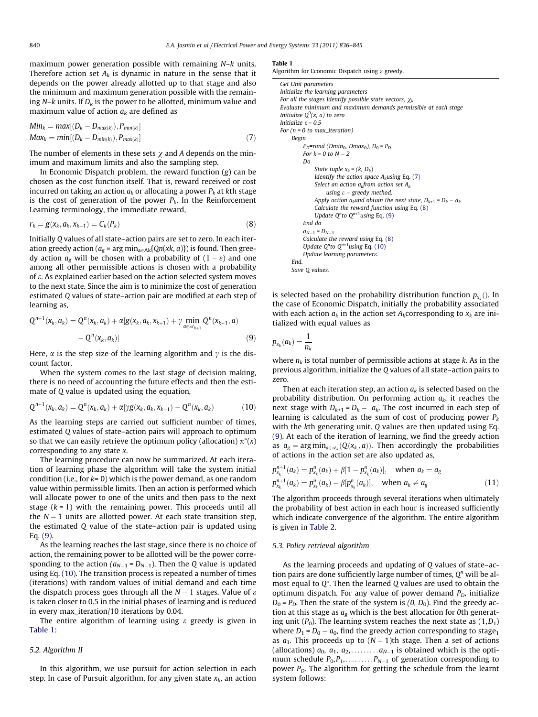<span id="page-4-0"></span>maximum power generation possible with remaining N–k units. Therefore action set  $A_k$  is dynamic in nature in the sense that it depends on the power already allotted up to that stage and also the minimum and maximum generation possible with the remaining N–k units. If  $D_k$  is the power to be allotted, minimum value and maximum value of action  $a_k$  are defined as

$$
Min_k = max[(D_k - D_{max(k)}), P_{min(k)}]
$$
  
\n
$$
Max_k = min[(D_k - D_{min(k)}), P_{max(k)}]
$$
\n(7)

The number of elements in these sets  $\chi$  and A depends on the minimum and maximum limits and also the sampling step.

In Economic Dispatch problem, the reward function  $(g)$  can be chosen as the cost function itself. That is, reward received or cost incurred on taking an action  $a_k$  or allocating a power  $P_k$  at kth stage is the cost of generation of the power  $P_k$ . In the Reinforcement Learning terminology, the immediate reward,

$$
r_k = g(x_k, a_k, x_{k+1}) = C_k(P_k)
$$
\n
$$
(8)
$$

Initially Q values of all state–action pairs are set to zero. In each iteration greedy action ( $a_g$  = arg min<sub>a $\in$ Ak{Qn(xk, a)}) is found. Then gree-</sub> dy action  $a_g$  will be chosen with a probability of  $(1 - \varepsilon)$  and one among all other permissible actions is chosen with a probability of e. As explained earlier based on the action selected system moves to the next state. Since the aim is to minimize the cost of generation estimated Q values of state–action pair are modified at each step of learning as,

$$
Q^{n+1}(x_k, a_k) = Q^n(x_k, a_k) + \alpha [g(x_k, a_k, x_{k+1}) + \gamma \min_{a \in \mathscr{A}_{k+1}} Q^n(x_{k+1}, a) - Q^n(x_k, a_k)] \tag{9}
$$

Here,  $\alpha$  is the step size of the learning algorithm and  $\gamma$  is the discount factor.

When the system comes to the last stage of decision making, there is no need of accounting the future effects and then the estimate of Q value is updated using the equation,

$$
Q^{n+1}(x_k, a_k) = Q^n(x_k, a_k) + \alpha[\gamma g(x_k, a_k, x_{k+1}) - Q^n(x_k, a_k)
$$
\n(10)

As the learning steps are carried out sufficient number of times, estimated Q values of state–action pairs will approach to optimum so that we can easily retrieve the optimum policy (allocation)  $\pi^*(x)$ corresponding to any state x.

The learning procedure can now be summarized. At each iteration of learning phase the algorithm will take the system initial condition (i.e., for  $k=0$ ) which is the power demand, as one random value within permissible limits. Then an action is performed which will allocate power to one of the units and then pass to the next stage  $(k = 1)$  with the remaining power. This proceeds until all the  $N-1$  units are allotted power. At each state transition step, the estimated Q value of the state–action pair is updated using Eq. (9).

As the learning reaches the last stage, since there is no choice of action, the remaining power to be allotted will be the power corresponding to the action ( $a_{N-1}$  =  $D_{N-1}$ ). Then the Q value is updated using Eq. (10). The transition process is repeated a number of times (iterations) with random values of initial demand and each time the dispatch process goes through all the  $N-1$  stages. Value of  $\varepsilon$ is taken closer to 0.5 in the initial phases of learning and is reduced in every max\_iteration/10 iterations by 0.04.

The entire algorithm of learning using  $\varepsilon$  greedy is given in Table 1:

# 5.2. Algorithm II

In this algorithm, we use pursuit for action selection in each step. In case of Pursuit algorithm, for any given state  $x_k$ , an action

#### Table 1

Algorithm for Economic Dispatch using  $\varepsilon$  greedy.

```
Get Unit parameters
Initialize the learning parameters
For all the stages Identify possible state vectors, \chi_kEvaluate minimum and maximum demands permissible at each stage
Initialize Q^0(x, a) to zero
Initialize \varepsilon = 0.5
For (n = 0 to max_iteration)
     Begin
         P_D=rand (Dmin<sub>0</sub>, Dmax<sub>0</sub>), D<sub>0</sub> = P_DFor k = 0 to N - 2Do
               State tuple x_k = (k, D_k)Identify the action space A_kusing Eq. (7)
               Select an action a_kfrom action set A_kusing \varepsilon – greedy method.
               Apply action a<sub>k</sub>and obtain the next state, D_{k+1} = D_k - a_kCalculate the reward function using Eq. (8)
               Update Q<sup>n</sup>to Q<sup>n+1</sup>using Eq. (9)
          End do
          a_{N-1} = D_{N-1}Calculate the reward using Eq. (8)
          Update Q^nto Q^{n+1}using Eq. (10)
         Update learning parametere.
    End.
     Save Q values.
```
is selected based on the probability distribution function  $p_{x_k}$  (). In the case of Economic Dispatch, initially the probability associated with each action  $a_k$  in the action set  $A_k$  corresponding to  $x_k$  are initialized with equal values as

$$
p_{x_k}(a_k)=\frac{1}{n_k}
$$

where  $n_k$  is total number of permissible actions at stage  $k$ . As in the previous algorithm, initialize the Q values of all state–action pairs to zero.

Then at each iteration step, an action  $a<sub>k</sub>$  is selected based on the probability distribution. On performing action  $a_k$ , it reaches the next stage with  $D_{k+1} = D_k - a_k$ . The cost incurred in each step of learning is calculated as the sum of cost of producing power  $P_k$ with the kth generating unit. Q values are then updated using Eq. (9). At each of the iteration of learning, we find the greedy action as  $a_g = \arg \min_{a \in \mathcal{A}_k} (Q(x_{k_i}, a))$ . Then accordingly the probabilities of actions in the action set are also updated as,

$$
p_{x_k}^{n+1}(a_k) = p_{x_k}^n(a_k) + \beta[1 - p_{x_k}^n(a_k)], \text{ when } a_k = a_g
$$
  

$$
p_{x_k}^{n+1}(a_k) = p_{x_k}^n(a_k) - \beta[p_{x_k}^n(a_k)], \text{ when } a_k \neq a_g
$$
 (11)

The algorithm proceeds through several iterations when ultimately the probability of best action in each hour is increased sufficiently which indicate convergence of the algorithm. The entire algorithm is given in [Table 2.](#page-5-0)

#### 5.3. Policy retrieval algorithm

As the learning proceeds and updating of Q values of state–action pairs are done sufficiently large number of times,  $Q<sup>n</sup>$  will be almost equal to  $Q^*$ . Then the learned  $Q$  values are used to obtain the optimum dispatch. For any value of power demand  $P_D$ , initialize  $D_0$  =  $P_D$ . Then the state of the system is (0,  $D_0$ ). Find the greedy action at this stage as  $a_g$  which is the best allocation for 0th generating unit  $(P_0)$ . The learning system reaches the next state as  $(1, D_1)$ where  $D_1 = D_0 - a_0$ , find the greedy action corresponding to stage<sub>1</sub> as  $a_1$ . This proceeds up to  $(N-1)$ th stage. Then a set of actions (allocations) a0, a1, a2,.........aN-<sup>1</sup> is obtained which is the optimum schedule  $P_0, P_1, \ldots, P_{N-1}$  of generation corresponding to power  $P_D$ . The algorithm for getting the schedule from the learnt system follows: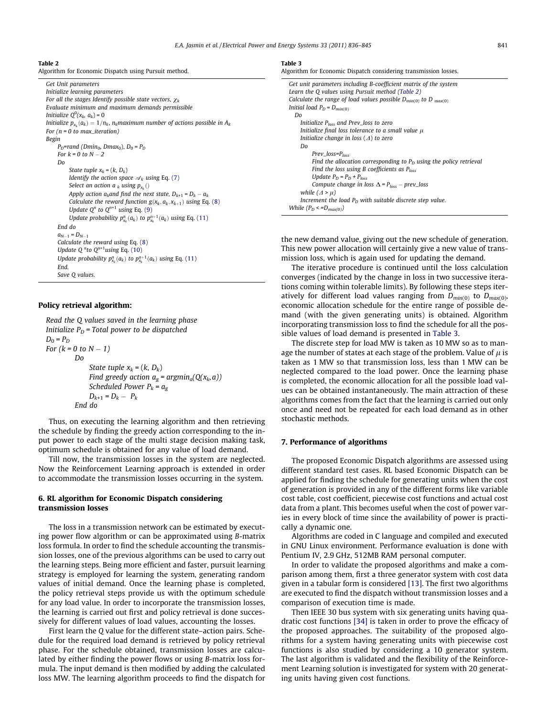#### <span id="page-5-0"></span>Table 2

| Algorithm for Economic Dispatch using Pursuit method. |  |  |  |
|-------------------------------------------------------|--|--|--|
|                                                       |  |  |  |

| Get Unit parameters                                                                   |
|---------------------------------------------------------------------------------------|
| Initialize learning parameters                                                        |
| For all the stages Identify possible state vectors, $\chi_k$                          |
| Evaluate minimum and maximum demands permissible                                      |
| Initialize $Q^0(x_k, a_k) = 0$                                                        |
| Initialize $p_{x_k}(a_k) = 1/n_k$ , $n_k$ maximum number of actions possible in $A_k$ |
| For $(n = 0$ to max_iteration)                                                        |
| Begin                                                                                 |
| $P_D$ =rand (Dmin <sub>0</sub> , Dmax <sub>0</sub> ), D <sub>0</sub> = P <sub>D</sub> |
| For $k = 0$ to $N - 2$                                                                |
| Do                                                                                    |
| State tuple $x_k = (k, D_k)$                                                          |
| Identify the action space $\mathcal{A}_k$ using Eq. (7)                               |
| Select an action a $_k$ using $p_{x_k}$ ()                                            |
| Apply action $a_k$ and find the next state, $D_{k+1} = D_k - a_k$                     |
| Calculate the reward function $g(x_k, a_k, x_{k+1})$ using Eq. (8)                    |
| Update $Q^n$ to $Q^{n+1}$ using Eq. (9)                                               |
| Update probability $p_{x_k}^n(a_k)$ to $p_{x_k}^{n+1}(a_k)$ using Eq. (11)            |
| End do                                                                                |
| $a_{N-1} = D_{N-1}$                                                                   |
| Calculate the reward using Eq. (8)                                                    |
| Update Q <sup>n</sup> to Q <sup>n+1</sup> using Eq. (10)                              |
| Update probability $p_{x_k}^n(a_k)$ to $p_{x_k}^{n+1}(a_k)$ using Eq. (11)            |
| End.                                                                                  |
| Save Q values.                                                                        |

### Policy retrieval algorithm:

Read the Q values saved in the learning phase Initialize  $P_D$  = Total power to be dispatched  $D_0 = P_D$ For  $(k = 0$  to  $N - 1)$ Do State tuple  $x_k = (k, D_k)$ Find greedy action  $a_g = argmin_a(Q(x_k, a))$ Scheduled Power  $P_k = a_g$  $D_{k+1} = D_k - P_k$ End do

Thus, on executing the learning algorithm and then retrieving the schedule by finding the greedy action corresponding to the input power to each stage of the multi stage decision making task, optimum schedule is obtained for any value of load demand.

Till now, the transmission losses in the system are neglected. Now the Reinforcement Learning approach is extended in order to accommodate the transmission losses occurring in the system.

# 6. RL algorithm for Economic Dispatch considering transmission losses

The loss in a transmission network can be estimated by executing power flow algorithm or can be approximated using B-matrix loss formula. In order to find the schedule accounting the transmission losses, one of the previous algorithms can be used to carry out the learning steps. Being more efficient and faster, pursuit learning strategy is employed for learning the system, generating random values of initial demand. Once the learning phase is completed, the policy retrieval steps provide us with the optimum schedule for any load value. In order to incorporate the transmission losses, the learning is carried out first and policy retrieval is done successively for different values of load values, accounting the losses.

First learn the Q value for the different state–action pairs. Schedule for the required load demand is retrieved by policy retrieval phase. For the schedule obtained, transmission losses are calculated by either finding the power flows or using B-matrix loss formula. The input demand is then modified by adding the calculated loss MW. The learning algorithm proceeds to find the dispatch for

#### Table 3

| Algorithm for Economic Dispatch considering transmission losses. |  |  |  |  |
|------------------------------------------------------------------|--|--|--|--|
|------------------------------------------------------------------|--|--|--|--|

| Get unit parameters including B-coefficient matrix of the system<br>Learn the Q values using Pursuit method (Table 2)<br>Calculate the range of load values possible $D_{min(0)}$ to D $_{max(0)}$<br>Initial load $P_D = D_{min(0)}$ |
|---------------------------------------------------------------------------------------------------------------------------------------------------------------------------------------------------------------------------------------|
| Do                                                                                                                                                                                                                                    |
| Initialize $P_{loss}$ and Prev_loss to zero                                                                                                                                                                                           |
| Initialize final loss tolerance to a small value $\mu$                                                                                                                                                                                |
| Initialize change in loss $(\varDelta)$ to zero                                                                                                                                                                                       |
| Do                                                                                                                                                                                                                                    |
| $Prev\_loss = P_{lose}$                                                                                                                                                                                                               |
| Find the allocation corresponding to $P_D$ using the policy retrieval                                                                                                                                                                 |
| Find the loss using B coefficients as $P_{loss}$                                                                                                                                                                                      |
| Update $P_D = P_D + P_{loss}$                                                                                                                                                                                                         |
| Compute change in loss $\Delta = P_{loss} - prev_{loss}$                                                                                                                                                                              |
| while $(\Delta > \mu)$                                                                                                                                                                                                                |
| Increment the load $P_D$ with suitable discrete step value.                                                                                                                                                                           |
| While $(P_D \leq D_{max(0)})$                                                                                                                                                                                                         |

the new demand value, giving out the new schedule of generation. This new power allocation will certainly give a new value of transmission loss, which is again used for updating the demand.

The iterative procedure is continued until the loss calculation converges (indicated by the change in loss in two successive iterations coming within tolerable limits). By following these steps iteratively for different load values ranging from  $D_{min(0)}$  to  $D_{max(0)}$ , economic allocation schedule for the entire range of possible demand (with the given generating units) is obtained. Algorithm incorporating transmission loss to find the schedule for all the possible values of load demand is presented in Table 3.

The discrete step for load MW is taken as 10 MW so as to manage the number of states at each stage of the problem. Value of  $\mu$  is taken as 1 MW so that transmission loss, less than 1 MW can be neglected compared to the load power. Once the learning phase is completed, the economic allocation for all the possible load values can be obtained instantaneously. The main attraction of these algorithms comes from the fact that the learning is carried out only once and need not be repeated for each load demand as in other stochastic methods.

# 7. Performance of algorithms

The proposed Economic Dispatch algorithms are assessed using different standard test cases. RL based Economic Dispatch can be applied for finding the schedule for generating units when the cost of generation is provided in any of the different forms like variable cost table, cost coefficient, piecewise cost functions and actual cost data from a plant. This becomes useful when the cost of power varies in every block of time since the availability of power is practically a dynamic one.

Algorithms are coded in C language and compiled and executed in GNU Linux environment. Performance evaluation is done with Pentium IV, 2.9 GHz, 512MB RAM personal computer.

In order to validate the proposed algorithms and make a comparison among them, first a three generator system with cost data given in a tabular form is considered [\[13\]](#page-9-0). The first two algorithms are executed to find the dispatch without transmission losses and a comparison of execution time is made.

Then IEEE 30 bus system with six generating units having quadratic cost functions [\[34\]](#page-9-0) is taken in order to prove the efficacy of the proposed approaches. The suitability of the proposed algorithms for a system having generating units with piecewise cost functions is also studied by considering a 10 generator system. The last algorithm is validated and the flexibility of the Reinforcement Learning solution is investigated for system with 20 generating units having given cost functions.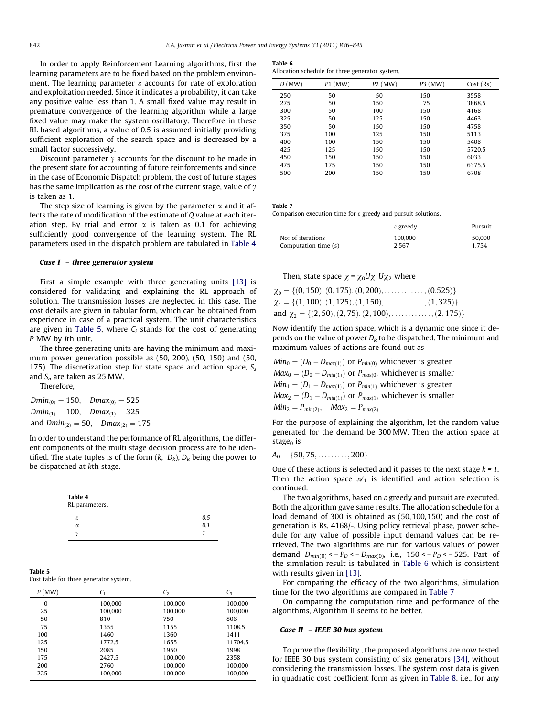In order to apply Reinforcement Learning algorithms, first the learning parameters are to be fixed based on the problem environment. The learning parameter  $\varepsilon$  accounts for rate of exploration and exploitation needed. Since it indicates a probability, it can take any positive value less than 1. A small fixed value may result in premature convergence of the learning algorithm while a large fixed value may make the system oscillatory. Therefore in these RL based algorithms, a value of 0.5 is assumed initially providing sufficient exploration of the search space and is decreased by a small factor successively.

Discount parameter  $\gamma$  accounts for the discount to be made in the present state for accounting of future reinforcements and since in the case of Economic Dispatch problem, the cost of future stages has the same implication as the cost of the current stage, value of  $\gamma$ is taken as 1.

The step size of learning is given by the parameter  $\alpha$  and it affects the rate of modification of the estimate of Q value at each iteration step. By trial and error  $\alpha$  is taken as 0.1 for achieving sufficiently good convergence of the learning system. The RL parameters used in the dispatch problem are tabulated in Table 4

#### Case I – three generator system

First a simple example with three generating units [\[13\]](#page-9-0) is considered for validating and explaining the RL approach of solution. The transmission losses are neglected in this case. The cost details are given in tabular form, which can be obtained from experience in case of a practical system. The unit characteristics are given in Table 5, where  $C_i$  stands for the cost of generating P MW by ith unit.

The three generating units are having the minimum and maximum power generation possible as (50, 200), (50, 150) and (50, 175). The discretization step for state space and action space,  $S_s$ and  $S_a$  are taken as 25 MW.

Therefore,

| $Dmin_{(0)} = 150$ , $Dmax_{(0)} = 525$ |                                            |
|-----------------------------------------|--------------------------------------------|
| $Dmin_{(1)} = 100$ , $Dmax_{(1)} = 325$ |                                            |
|                                         | and $Dmin_{(2)} = 50$ , $Dmax_{(2)} = 175$ |

In order to understand the performance of RL algorithms, the different components of the multi stage decision process are to be identified. The state tuples is of the form  $(k, D_k)$ ,  $D_k$  being the power to be dispatched at kth stage.

Table 4 RL parameters.  $\varepsilon$  0.5  $\alpha$  0.1  $\gamma$  and  $\gamma$  1

| Table 5 |                                        |  |
|---------|----------------------------------------|--|
|         | Cost table for three generator system. |  |

| P(MW)    | C <sub>1</sub> | C <sub>2</sub> | $C_3$   |
|----------|----------------|----------------|---------|
| $\bf{0}$ | 100,000        | 100,000        | 100,000 |
| 25       | 100,000        | 100,000        | 100,000 |
| 50       | 810            | 750            | 806     |
| 75       | 1355           | 1155           | 1108.5  |
| 100      | 1460           | 1360           | 1411    |
| 125      | 1772.5         | 1655           | 11704.5 |
| 150      | 2085           | 1950           | 1998    |
| 175      | 2427.5         | 100.000        | 2358    |
| 200      | 2760           | 100,000        | 100,000 |
| 225      | 100,000        | 100,000        | 100,000 |
|          |                |                |         |

Table 6

| Allocation schedule for three generator system. |  |  |  |
|-------------------------------------------------|--|--|--|
|-------------------------------------------------|--|--|--|

| $D$ (MW) | $P1$ (MW) | $P2$ (MW) | P3 (MW) | Cost (Rs) |
|----------|-----------|-----------|---------|-----------|
| 250      | 50        | 50        | 150     | 3558      |
| 275      | 50        | 150       | 75      | 3868.5    |
| 300      | 50        | 100       | 150     | 4168      |
| 325      | 50        | 125       | 150     | 4463      |
| 350      | 50        | 150       | 150     | 4758      |
| 375      | 100       | 125       | 150     | 5113      |
| 400      | 100       | 150       | 150     | 5408      |
| 425      | 125       | 150       | 150     | 5720.5    |
| 450      | 150       | 150       | 150     | 6033      |
| 475      | 175       | 150       | 150     | 6375.5    |
| 500      | 200       | 150       | 150     | 6708      |
|          |           |           |         |           |

Table 7

|                      | $\varepsilon$ greedy | Pursuit |
|----------------------|----------------------|---------|
| No: of iterations    | 100.000              | 50,000  |
| Computation time (s) | 2.567                | 1.754   |

Then, state space  $\chi = \chi_0 U \chi_1 U \chi_2$  where

 $\chi_0 = \{(0, 150), (0, 175), (0, 200), \ldots, (0.525)\}\$  $\chi_1 = \{(1, 100), (1, 125), (1, 150), \ldots, (1, 325)\}$ and  $\chi_2 = \{(2, 50), (2, 75), (2, 100), \ldots, (2, 175)\}$ 

Now identify the action space, which is a dynamic one since it depends on the value of power  $D_k$  to be dispatched. The minimum and maximum values of actions are found out as

| $Min_0 = (D_0 - D_{max(1)})$ or $P_{min(0)}$ whichever is greater |
|-------------------------------------------------------------------|
| $Max_0 = (D_0 - D_{min(1)})$ or $P_{max(0)}$ whichever is smaller |
| $Min_1 = (D_1 - D_{max(1)})$ or $P_{min(1)}$ whichever is greater |
| $Max_2 = (D_1 - D_{min(1)})$ or $P_{max(1)}$ whichever is smaller |
| $Min_2 = P_{min(2)},$ $Max_2 = P_{max(2)}$                        |

For the purpose of explaining the algorithm, let the random value generated for the demand be 300 MW. Then the action space at stage $<sub>0</sub>$  is</sub>

$$
A_0 = \{50, 75, \ldots \ldots \ldots, 200\}
$$

One of these actions is selected and it passes to the next stage  $k = 1$ . Then the action space  $\mathcal{A}_1$  is identified and action selection is continued.

The two algorithms, based on  $\varepsilon$  greedy and pursuit are executed. Both the algorithm gave same results. The allocation schedule for a load demand of 300 is obtained as (50, 100,150) and the cost of generation is Rs. 4168/-. Using policy retrieval phase, power schedule for any value of possible input demand values can be retrieved. The two algorithms are run for various values of power demand  $D_{min(0)} < P_D < D_{max(0)}$ , i.e., 150  $< P_D < 525$ . Part of the simulation result is tabulated in Table 6 which is consistent with results given in [\[13\]](#page-9-0).

For comparing the efficacy of the two algorithms, Simulation time for the two algorithms are compared in Table 7

On comparing the computation time and performance of the algorithms, Algorithm II seems to be better.

#### Case II – IEEE 30 bus system

To prove the flexibility , the proposed algorithms are now tested for IEEE 30 bus system consisting of six generators [\[34\],](#page-9-0) without considering the transmission losses. The system cost data is given in quadratic cost coefficient form as given in [Table 8](#page-7-0). i.e., for any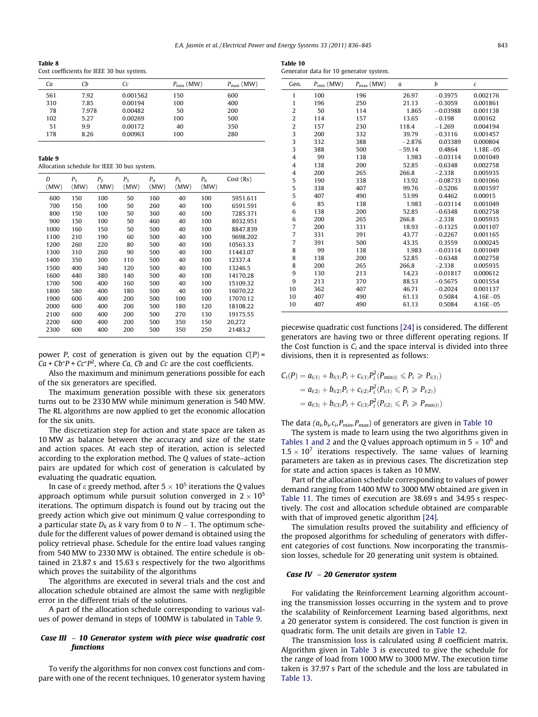<span id="page-7-0"></span>Table 8

Cost coefficients for IEEE 30 bus system.

| Сa  | Сh    | Cc.      | $P_{\min}$ (MW) | $P_{\text{max}}$ (MW) |
|-----|-------|----------|-----------------|-----------------------|
| 561 | 7.92  | 0.001562 | 150             | 600                   |
| 310 | 7.85  | 0.00194  | 100             | 400                   |
| 78  | 7.978 | 0.00482  | 50              | 200                   |
| 102 | 5.27  | 0.00269  | 100             | 500                   |
| 51  | 9.9   | 0.00172  | 40              | 350                   |
| 178 | 8.26  | 0.00963  | 100             | 280                   |
|     |       |          |                 |                       |

Table 9

Allocation schedule for IEEE 30 bus system.

| D<br>(MW) | $P_1$<br>(MW) | P <sub>2</sub><br>(MW) | $P_3$<br>(MW) | $P_4$<br>(MW) | $P_5$<br>(MW) | $P_6$<br>(MW) | Cost (Rs) |
|-----------|---------------|------------------------|---------------|---------------|---------------|---------------|-----------|
| 600       | 150           | 100                    | 50            | 160           | 40            | 100           | 5951.611  |
| 700       | 150           | 100                    | 50            | 260           | 40            | 100           | 6591.591  |
| 800       | 150           | 100                    | 50            | 360           | 40            | 100           | 7285.371  |
| 900       | 150           | 100                    | 50            | 460           | 40            | 100           | 8032.951  |
| 1000      | 160           | 150                    | 50            | 500           | 40            | 100           | 8847.839  |
| 1100      | 210           | 190                    | 60            | 500           | 40            | 100           | 9698.202  |
| 1200      | 260           | 220                    | 80            | 500           | 40            | 100           | 10563.33  |
| 1300      | 310           | 260                    | 90            | 500           | 40            | 100           | 11443.07  |
| 1400      | 350           | 300                    | 110           | 500           | 40            | 100           | 12337.4   |
| 1500      | 400           | 340                    | 120           | 500           | 40            | 100           | 13246.5   |
| 1600      | 440           | 380                    | 140           | 500           | 40            | 100           | 14170.28  |
| 1700      | 500           | 400                    | 160           | 500           | 40            | 100           | 15109.32  |
| 1800      | 580           | 400                    | 180           | 500           | 40            | 100           | 16070.22  |
| 1900      | 600           | 400                    | 200           | 500           | 100           | 100           | 17070.12  |
| 2000      | 600           | 400                    | 200           | 500           | 180           | 120           | 18108.22  |
| 2100      | 600           | 400                    | 200           | 500           | 270           | 130           | 19175.55  |
| 2200      | 600           | 400                    | 200           | 500           | 350           | 150           | 20,272    |
| 2300      | 600           | 400                    | 200           | 500           | 350           | 250           | 21483.2   |

power P, cost of generation is given out by the equation  $C(P)$  =  $Ca + Cb^*P + Cc^*P^2$ , where *Ca*, *Cb* and *Cc* are the cost coefficients.

Also the maximum and minimum generations possible for each of the six generators are specified.

The maximum generation possible with these six generators turns out to be 2330 MW while minimum generation is 540 MW. The RL algorithms are now applied to get the economic allocation for the six units.

The discretization step for action and state space are taken as 10 MW as balance between the accuracy and size of the state and action spaces. At each step of iteration, action is selected according to the exploration method. The Q values of state–action pairs are updated for which cost of generation is calculated by evaluating the quadratic equation.

In case of  $\varepsilon$  greedy method, after  $5 \times 10^5$  iterations the Q values approach optimum while pursuit solution converged in  $2 \times 10^5$ iterations. The optimum dispatch is found out by tracing out the greedy action which give out minimum Q value corresponding to a particular state  $D_k$  as  $k$  vary from 0 to  $N-1.$  The optimum schedule for the different values of power demand is obtained using the policy retrieval phase. Schedule for the entire load values ranging from 540 MW to 2330 MW is obtained. The entire schedule is obtained in 23.87 s and 15.63 s respectively for the two algorithms which proves the suitability of the algorithms

The algorithms are executed in several trials and the cost and allocation schedule obtained are almost the same with negligible error in the different trials of the solutions.

A part of the allocation schedule corresponding to various values of power demand in steps of 100MW is tabulated in Table 9.

# Case III – 10 Generator system with piece wise quadratic cost functions

To verify the algorithms for non convex cost functions and compare with one of the recent techniques, 10 generator system having

Table 10

| Gen.                    | $P_{\min}$ (MW) | $P_{\text{max}}$ (MW) | $\boldsymbol{a}$ | b          | $\mathcal{C}$ |
|-------------------------|-----------------|-----------------------|------------------|------------|---------------|
| 1                       | 100             | 196                   | 26.97            | $-0.3975$  | 0.002176      |
| 1                       | 196             | 250                   | 21.13            | $-0.3059$  | 0.001861      |
| $\overline{c}$          | 50              | 114                   | 1.865            | $-0.03988$ | 0.001138      |
| $\overline{\mathbf{c}}$ | 114             | 157                   | 13.65            | $-0.198$   | 0.00162       |
| $\overline{c}$          | 157             | 230                   | 118.4            | $-1.269$   | 0.004194      |
| 3                       | 200             | 332                   | 39.79            | $-0.3116$  | 0.001457      |
| 3                       | 332             | 388                   | $-2.876$         | 0.03389    | 0.000804      |
| 3                       | 388             | 500                   | $-59.14$         | 0.4864     | $1.18E - 05$  |
| $\overline{4}$          | 99              | 138                   | 1.983            | $-0.03114$ | 0.001049      |
| $\overline{4}$          | 138             | 200                   | 52.85            | $-0.6348$  | 0.002758      |
| 4                       | 200             | 265                   | 266.8            | $-2.338$   | 0.005935      |
| 5                       | 190             | 338                   | 13.92            | $-0.08733$ | 0.001066      |
| 5                       | 338             | 407                   | 99.76            | $-0.5206$  | 0.001597      |
| 5                       | 407             | 490                   | 53.99            | 0.4462     | 0.00015       |
| 6                       | 85              | 138                   | 1.983            | $-0.03114$ | 0.001049      |
| 6                       | 138             | 200                   | 52.85            | $-0.6348$  | 0.002758      |
| 6                       | 200             | 265                   | 266.8            | $-2.338$   | 0.005935      |
| $\overline{7}$          | 200             | 331                   | 18.93            | $-0.1325$  | 0.001107      |
| $\overline{7}$          | 331             | 391                   | 43.77            | $-0.2267$  | 0.001165      |
| $\overline{7}$          | 391             | 500                   | 43.35            | 0.3559     | 0.000245      |
| 8                       | 99              | 138                   | 1.983            | $-0.03114$ | 0.001049      |
| 8                       | 138             | 200                   | 52.85            | $-0.6348$  | 0.002758      |
| 8                       | 200             | 265                   | 266.8            | $-2.338$   | 0.005935      |
| 9                       | 130             | 213                   | 14.23            | $-0.01817$ | 0.000612      |
| 9                       | 213             | 370                   | 88.53            | $-0.5675$  | 0.001554      |
| 10                      | 362             | 407                   | 46.71            | $-0.2024$  | 0.001137      |
| 10                      | 407             | 490                   | 61.13            | 0.5084     | $4.16E - 05$  |
| 10                      | 407             | 490                   | 61.13            | 0.5084     | $4.16E - 05$  |

piecewise quadratic cost functions [\[24\]](#page-9-0) is considered. The different generators are having two or three different operating regions. If the Cost function is  $C_i$  and the space interval is divided into three divisions, then it is represented as follows:

$$
C_i(P) = a_{i(1)} + b_{i(1)}P_i + c_{i(1)}P_i^2(P_{min(i)} \le P_i \ge P_{i(1)})
$$
  
=  $a_{i(2)} + b_{i(2)}P_i + c_{i(2)}P_i^2(P_{i(1)} \le P_i \ge P_{i(2)})$   
=  $a_{i(3)} + b_{i(3)}P_i + c_{i(3)}P_i^2(P_{i(2)} \le P_i \ge P_{max(i)})$ 

The data  $(a_i, b_i, c_i, P_{min}, P_{max})$  of generators are given in Table 10

The system is made to learn using the two algorithms given in [Tables 1 and 2](#page-4-0) and the Q values approach optimum in  $5 \times 10^6$  and  $1.5 \times 10^7$  iterations respectively. The same values of learning parameters are taken as in previous cases. The discretization step for state and action spaces is taken as 10 MW.

Part of the allocation schedule corresponding to values of power demand ranging from 1400 MW to 3000 MW obtained are given in [Table 11.](#page-8-0) The times of execution are 38.69 s and 34.95 s respectively. The cost and allocation schedule obtained are comparable with that of improved genetic algorithm [\[24\].](#page-9-0)

The simulation results proved the suitability and efficiency of the proposed algorithms for scheduling of generators with different categories of cost functions. Now incorporating the transmission losses, schedule for 20 generating unit system is obtained.

## Case IV – 20 Generator system

For validating the Reinforcement Learning algorithm accounting the transmission losses occurring in the system and to prove the scalability of Reinforcement Learning based algorithms, next a 20 generator system is considered. The cost function is given in quadratic form. The unit details are given in [Table 12](#page-8-0).

The transmission loss is calculated using B coefficient matrix. Algorithm given in [Table 3](#page-5-0) is executed to give the schedule for the range of load from 1000 MW to 3000 MW. The execution time taken is 37.97 s Part of the schedule and the loss are tabulated in [Table 13](#page-8-0).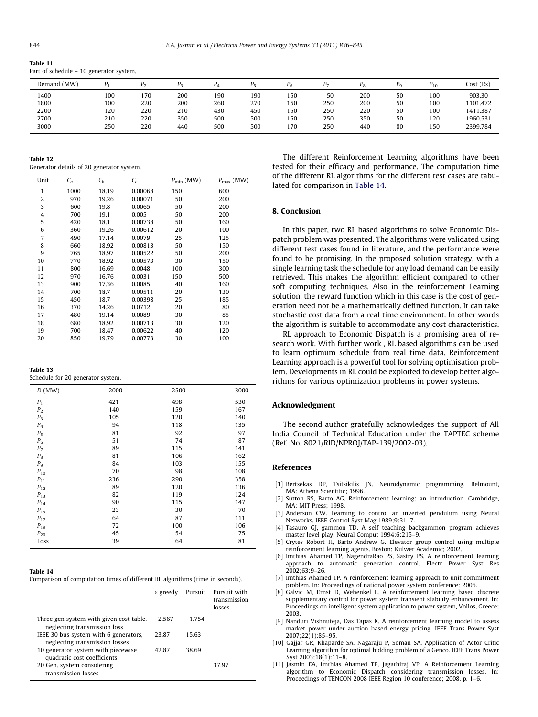<span id="page-8-0"></span>

| Table 11                                |
|-----------------------------------------|
| Part of schedule - 10 generator system. |

| (MW)<br>Demand |     |     |     |     |     |     |     |     |    | $r_{10}$ | Cost (Rs) |
|----------------|-----|-----|-----|-----|-----|-----|-----|-----|----|----------|-----------|
| 1400           | 100 | 170 | 200 | 190 | 190 | 150 | 50  | 200 | 50 | 100      | 903.30    |
| 1800           | 100 | 220 | 200 | 260 | 270 | 150 | 250 | 200 | 50 | 100      | 101.472   |
| 2200           | 120 | 220 | 210 | 430 | 450 | 150 | 250 | 220 | 50 | 100      | 1411.387  |
| 2700           | 210 | 220 | 350 | 500 | 500 | 150 | 250 | 350 | 50 | 120      | 1960.531  |
| 3000           | 250 | 220 | 440 | 500 | 500 | 170 | 250 | 440 | 80 | 150      | 2399.784  |

Table 12

Generator details of 20 generator system.

| Unit         | $C_a$ | $C_b$ | $C_c$   | $P_{\min}$ (MW) | $P_{\text{max}}$ (MW) |
|--------------|-------|-------|---------|-----------------|-----------------------|
| $\mathbf{1}$ | 1000  | 18.19 | 0.00068 | 150             | 600                   |
| 2            | 970   | 19.26 | 0.00071 | 50              | 200                   |
| 3            | 600   | 19.8  | 0.0065  | 50              | 200                   |
| 4            | 700   | 19.1  | 0.005   | 50              | 200                   |
| 5            | 420   | 18.1  | 0.00738 | 50              | 160                   |
| 6            | 360   | 19.26 | 0.00612 | 20              | 100                   |
| 7            | 490   | 17.14 | 0.0079  | 25              | 125                   |
| 8            | 660   | 18.92 | 0.00813 | 50              | 150                   |
| 9            | 765   | 18.97 | 0.00522 | 50              | 200                   |
| 10           | 770   | 18.92 | 0.00573 | 30              | 150                   |
| 11           | 800   | 16.69 | 0.0048  | 100             | 300                   |
| 12           | 970   | 16.76 | 0.0031  | 150             | 500                   |
| 13           | 900   | 17.36 | 0.0085  | 40              | 160                   |
| 14           | 700   | 18.7  | 0.00511 | 20              | 130                   |
| 15           | 450   | 18.7  | 0.00398 | 25              | 185                   |
| 16           | 370   | 14.26 | 0.0712  | 20              | 80                    |
| 17           | 480   | 19.14 | 0.0089  | 30              | 85                    |
| 18           | 680   | 18.92 | 0.00713 | 30              | 120                   |
| 19           | 700   | 18.47 | 0.00622 | 40              | 120                   |
| 20           | 850   | 19.79 | 0.00773 | 30              | 100                   |

| ۱e<br>Tabl |  |
|------------|--|
|------------|--|

Schedule for 20 generator system.

| D(MW)          | 2000 | 2500 | 3000 |
|----------------|------|------|------|
| $P_1$          | 421  | 498  | 530  |
| P <sub>2</sub> | 140  | 159  | 167  |
| $P_3$          | 105  | 120  | 140  |
| $P_4$          | 94   | 118  | 135  |
| $P_5$          | 81   | 92   | 97   |
| $P_6$          | 51   | 74   | 87   |
| P <sub>7</sub> | 89   | 115  | 141  |
| $P_8$          | 81   | 106  | 162  |
| P <sub>9</sub> | 84   | 103  | 155  |
| $P_{10}$       | 70   | 98   | 108  |
| $P_{11}$       | 236  | 290  | 358  |
| $P_{12}$       | 89   | 120  | 136  |
| $P_{13}$       | 82   | 119  | 124  |
| $P_{14}$       | 90   | 115  | 147  |
| $P_{15}$       | 23   | 30   | 70   |
| $P_{17}$       | 64   | 87   | 111  |
| $P_{19}$       | 72   | 100  | 106  |
| $P_{20}$       | 45   | 54   | 75   |
| Loss           | 39   | 64   | 81   |

#### Table 14

Comparison of computation times of different RL algorithms (time in seconds).

|                                                                         | $\varepsilon$ greedy | Pursuit | Pursuit with<br>transmission<br>losses |
|-------------------------------------------------------------------------|----------------------|---------|----------------------------------------|
| Three gen system with given cost table,<br>neglecting transmission loss | 2.567                | 1754    |                                        |
| IEEE 30 bus system with 6 generators,<br>neglecting transmission losses | 23.87                | 15.63   |                                        |
| 10 generator system with piecewise<br>quadratic cost coefficients       | 42.87                | 38.69   |                                        |
| 20 Gen. system considering<br>transmission losses                       |                      |         | 3797                                   |

The different Reinforcement Learning algorithms have been tested for their efficacy and performance. The computation time of the different RL algorithms for the different test cases are tabulated for comparison in Table 14.

#### 8. Conclusion

In this paper, two RL based algorithms to solve Economic Dispatch problem was presented. The algorithms were validated using different test cases found in literature, and the performance were found to be promising. In the proposed solution strategy, with a single learning task the schedule for any load demand can be easily retrieved. This makes the algorithm efficient compared to other soft computing techniques. Also in the reinforcement Learning solution, the reward function which in this case is the cost of generation need not be a mathematically defined function. It can take stochastic cost data from a real time environment. In other words the algorithm is suitable to accommodate any cost characteristics.

RL approach to Economic Dispatch is a promising area of research work. With further work , RL based algorithms can be used to learn optimum schedule from real time data. Reinforcement Learning approach is a powerful tool for solving optimisation problem. Developments in RL could be exploited to develop better algorithms for various optimization problems in power systems.

#### Acknowledgment

The second author gratefully acknowledges the support of All India Council of Technical Education under the TAPTEC scheme (Ref. No. 8021/RID/NPROJ/TAP-139/2002-03).

# References

- [1] Bertsekas DP, Tsitsikilis JN. Neurodynamic programming. Belmount, MA: Athena Scientific; 1996.
- [2] Sutton RS, Barto AG. Reinforcement learning: an introduction. Cambridge, MA: MIT Press; 1998.
- [3] Anderson CW. Learning to control an inverted pendulum using Neural Networks. IEEE Control Syst Mag 1989;9:31–7.
- [4] Tasauro GJ, gammon TD. A self teaching backgammon program achieves master level play. Neural Comput 1994;6:215–9.
- [5] Crytes Robort H, Barto Andrew G. Elevator group control using multiple reinforcement learning agents. Boston: Kulwer Academic; 2002.
- [6] Imthias Ahamed TP, NagendraRao PS, Sastry PS. A reinforcement learning approach to automatic generation control. Electr Power Syst Res 2002;63:9–26.
- [7] Imthias Ahamed TP. A reinforcement learning approach to unit commitment problem. In: Proceedings of national power system conference; 2006.
- [8] Galvic M, Ernst D, Wehenkel L. A reinforcement learning based discrete supplementary control for power system transient stability enhancement. In: Proceedings on intelligent system application to power system, Vollos, Greece; 2003.
- [9] Nanduri Vishnuteja, Das Tapas K. A reinforcement learning model to assess market power under auction based energy pricing. IEEE Trans Power Syst 2007;22(1):85–95.
- [10] Gajjar GR, Khaparde SA, Nagaraju P, Soman SA. Application of Actor Critic Learning algorithm for optimal bidding problem of a Genco. IEEE Trans Power Syst 2003;18(1):11–8.
- [11] Jasmin EA, Imthias Ahamed TP, Jagathiraj VP. A Reinforcement Learning algorithm to Economic Dispatch considering transmission losses. In: Proceedings of TENCON 2008 IEEE Region 10 conference; 2008. p. 1–6.